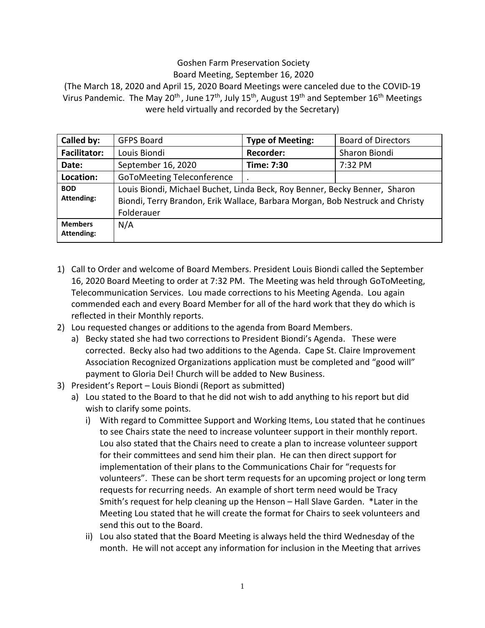## Goshen Farm Preservation Society Board Meeting, September 16, 2020

(The March 18, 2020 and April 15, 2020 Board Meetings were canceled due to the COVID-19 Virus Pandemic. The May 20<sup>th</sup> , June 17<sup>th</sup>, July 15<sup>th</sup>, August 19<sup>th</sup> and September 16<sup>th</sup> Meetings were held virtually and recorded by the Secretary)

| Called by:                      | <b>GFPS Board</b>                                                                                                                                                         | <b>Type of Meeting:</b> | <b>Board of Directors</b> |
|---------------------------------|---------------------------------------------------------------------------------------------------------------------------------------------------------------------------|-------------------------|---------------------------|
| <b>Facilitator:</b>             | Louis Biondi                                                                                                                                                              | <b>Recorder:</b>        | Sharon Biondi             |
| Date:                           | September 16, 2020                                                                                                                                                        | Time: 7:30              | 7:32 PM                   |
| Location:                       | <b>GoToMeeting Teleconference</b>                                                                                                                                         |                         |                           |
| <b>BOD</b><br><b>Attending:</b> | Louis Biondi, Michael Buchet, Linda Beck, Roy Benner, Becky Benner, Sharon<br>Biondi, Terry Brandon, Erik Wallace, Barbara Morgan, Bob Nestruck and Christy<br>Folderauer |                         |                           |
| <b>Members</b><br>Attending:    | N/A                                                                                                                                                                       |                         |                           |

- 1) Call to Order and welcome of Board Members. President Louis Biondi called the September 16, 2020 Board Meeting to order at 7:32 PM. The Meeting was held through GoToMeeting, Telecommunication Services. Lou made corrections to his Meeting Agenda. Lou again commended each and every Board Member for all of the hard work that they do which is reflected in their Monthly reports.
- 2) Lou requested changes or additions to the agenda from Board Members.
	- a) Becky stated she had two corrections to President Biondi's Agenda. These were corrected. Becky also had two additions to the Agenda. Cape St. Claire Improvement Association Recognized Organizations application must be completed and "good will" payment to Gloria Dei! Church will be added to New Business.
- 3) President's Report Louis Biondi (Report as submitted)
	- a) Lou stated to the Board to that he did not wish to add anything to his report but did wish to clarify some points.
		- i) With regard to Committee Support and Working Items, Lou stated that he continues to see Chairs state the need to increase volunteer support in their monthly report. Lou also stated that the Chairs need to create a plan to increase volunteer support for their committees and send him their plan. He can then direct support for implementation of their plans to the Communications Chair for "requests for volunteers". These can be short term requests for an upcoming project or long term requests for recurring needs. An example of short term need would be Tracy Smith's request for help cleaning up the Henson – Hall Slave Garden. \*Later in the Meeting Lou stated that he will create the format for Chairs to seek volunteers and send this out to the Board.
		- ii) Lou also stated that the Board Meeting is always held the third Wednesday of the month. He will not accept any information for inclusion in the Meeting that arrives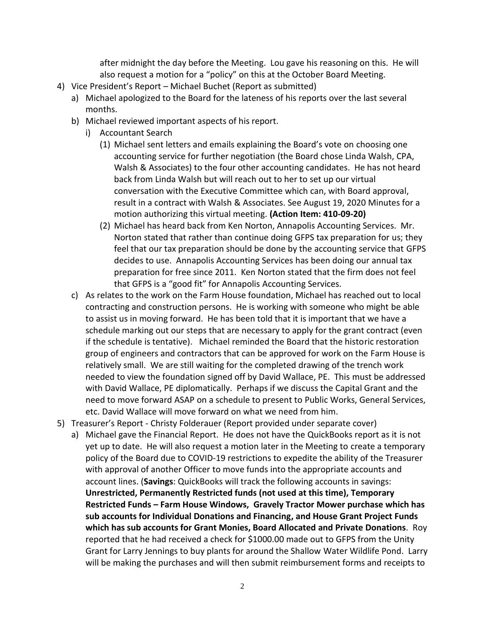after midnight the day before the Meeting. Lou gave his reasoning on this. He will also request a motion for a "policy" on this at the October Board Meeting.

- 4) Vice President's Report Michael Buchet (Report as submitted)
	- a) Michael apologized to the Board for the lateness of his reports over the last several months.
	- b) Michael reviewed important aspects of his report.
		- i) Accountant Search
			- (1) Michael sent letters and emails explaining the Board's vote on choosing one accounting service for further negotiation (the Board chose Linda Walsh, CPA, Walsh & Associates) to the four other accounting candidates. He has not heard back from Linda Walsh but will reach out to her to set up our virtual conversation with the Executive Committee which can, with Board approval, result in a contract with Walsh & Associates. See August 19, 2020 Minutes for a motion authorizing this virtual meeting. **(Action Item: 410-09-20)**
			- (2) Michael has heard back from Ken Norton, Annapolis Accounting Services. Mr. Norton stated that rather than continue doing GFPS tax preparation for us; they feel that our tax preparation should be done by the accounting service that GFPS decides to use. Annapolis Accounting Services has been doing our annual tax preparation for free since 2011. Ken Norton stated that the firm does not feel that GFPS is a "good fit" for Annapolis Accounting Services.
	- c) As relates to the work on the Farm House foundation, Michael has reached out to local contracting and construction persons. He is working with someone who might be able to assist us in moving forward. He has been told that it is important that we have a schedule marking out our steps that are necessary to apply for the grant contract (even if the schedule is tentative). Michael reminded the Board that the historic restoration group of engineers and contractors that can be approved for work on the Farm House is relatively small. We are still waiting for the completed drawing of the trench work needed to view the foundation signed off by David Wallace, PE. This must be addressed with David Wallace, PE diplomatically. Perhaps if we discuss the Capital Grant and the need to move forward ASAP on a schedule to present to Public Works, General Services, etc. David Wallace will move forward on what we need from him.
- 5) Treasurer's Report Christy Folderauer (Report provided under separate cover)
	- a) Michael gave the Financial Report. He does not have the QuickBooks report as it is not yet up to date. He will also request a motion later in the Meeting to create a temporary policy of the Board due to COVID-19 restrictions to expedite the ability of the Treasurer with approval of another Officer to move funds into the appropriate accounts and account lines. (**Savings**: QuickBooks will track the following accounts in savings: **Unrestricted, Permanently Restricted funds (not used at this time), Temporary Restricted Funds – Farm House Windows, Gravely Tractor Mower purchase which has sub accounts for Individual Donations and Financing, and House Grant Project Funds which has sub accounts for Grant Monies, Board Allocated and Private Donations**. Roy reported that he had received a check for \$1000.00 made out to GFPS from the Unity Grant for Larry Jennings to buy plants for around the Shallow Water Wildlife Pond. Larry will be making the purchases and will then submit reimbursement forms and receipts to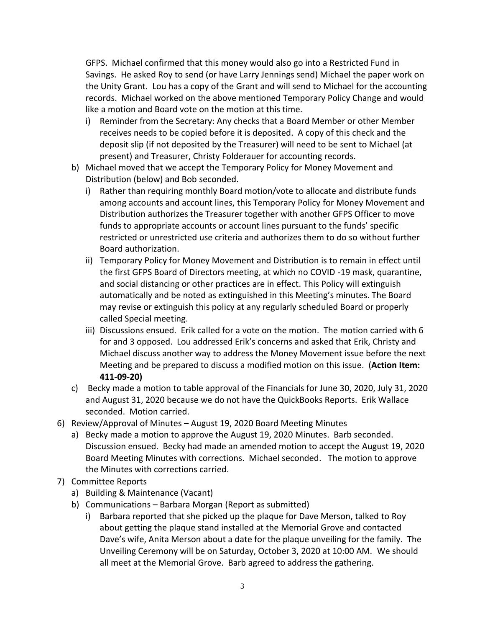GFPS. Michael confirmed that this money would also go into a Restricted Fund in Savings. He asked Roy to send (or have Larry Jennings send) Michael the paper work on the Unity Grant. Lou has a copy of the Grant and will send to Michael for the accounting records. Michael worked on the above mentioned Temporary Policy Change and would like a motion and Board vote on the motion at this time.

- i) Reminder from the Secretary: Any checks that a Board Member or other Member receives needs to be copied before it is deposited. A copy of this check and the deposit slip (if not deposited by the Treasurer) will need to be sent to Michael (at present) and Treasurer, Christy Folderauer for accounting records.
- b) Michael moved that we accept the Temporary Policy for Money Movement and Distribution (below) and Bob seconded.
	- i) Rather than requiring monthly Board motion/vote to allocate and distribute funds among accounts and account lines, this Temporary Policy for Money Movement and Distribution authorizes the Treasurer together with another GFPS Officer to move funds to appropriate accounts or account lines pursuant to the funds' specific restricted or unrestricted use criteria and authorizes them to do so without further Board authorization.
	- ii) Temporary Policy for Money Movement and Distribution is to remain in effect until the first GFPS Board of Directors meeting, at which no COVID -19 mask, quarantine, and social distancing or other practices are in effect. This Policy will extinguish automatically and be noted as extinguished in this Meeting's minutes. The Board may revise or extinguish this policy at any regularly scheduled Board or properly called Special meeting.
	- iii) Discussions ensued. Erik called for a vote on the motion. The motion carried with 6 for and 3 opposed. Lou addressed Erik's concerns and asked that Erik, Christy and Michael discuss another way to address the Money Movement issue before the next Meeting and be prepared to discuss a modified motion on this issue. (**Action Item: 411-09-20)**
- c) Becky made a motion to table approval of the Financials for June 30, 2020, July 31, 2020 and August 31, 2020 because we do not have the QuickBooks Reports. Erik Wallace seconded. Motion carried.
- 6) Review/Approval of Minutes August 19, 2020 Board Meeting Minutes
	- a) Becky made a motion to approve the August 19, 2020 Minutes. Barb seconded. Discussion ensued. Becky had made an amended motion to accept the August 19, 2020 Board Meeting Minutes with corrections. Michael seconded. The motion to approve the Minutes with corrections carried.
- 7) Committee Reports
	- a) Building & Maintenance (Vacant)
	- b) Communications Barbara Morgan (Report as submitted)
		- i) Barbara reported that she picked up the plaque for Dave Merson, talked to Roy about getting the plaque stand installed at the Memorial Grove and contacted Dave's wife, Anita Merson about a date for the plaque unveiling for the family. The Unveiling Ceremony will be on Saturday, October 3, 2020 at 10:00 AM. We should all meet at the Memorial Grove. Barb agreed to address the gathering.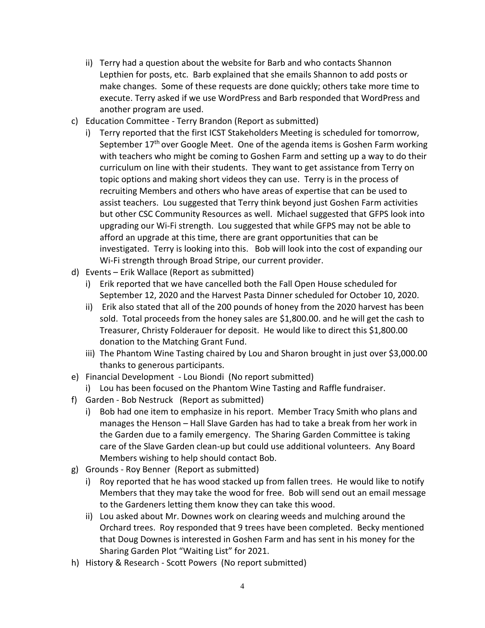- ii) Terry had a question about the website for Barb and who contacts Shannon Lepthien for posts, etc. Barb explained that she emails Shannon to add posts or make changes. Some of these requests are done quickly; others take more time to execute. Terry asked if we use WordPress and Barb responded that WordPress and another program are used.
- c) Education Committee Terry Brandon (Report as submitted)
	- i) Terry reported that the first ICST Stakeholders Meeting is scheduled for tomorrow, September 17<sup>th</sup> over Google Meet. One of the agenda items is Goshen Farm working with teachers who might be coming to Goshen Farm and setting up a way to do their curriculum on line with their students. They want to get assistance from Terry on topic options and making short videos they can use. Terry is in the process of recruiting Members and others who have areas of expertise that can be used to assist teachers. Lou suggested that Terry think beyond just Goshen Farm activities but other CSC Community Resources as well. Michael suggested that GFPS look into upgrading our Wi-Fi strength. Lou suggested that while GFPS may not be able to afford an upgrade at this time, there are grant opportunities that can be investigated. Terry is looking into this. Bob will look into the cost of expanding our Wi-Fi strength through Broad Stripe, our current provider.
- d) Events Erik Wallace (Report as submitted)
	- i) Erik reported that we have cancelled both the Fall Open House scheduled for September 12, 2020 and the Harvest Pasta Dinner scheduled for October 10, 2020.
	- ii) Erik also stated that all of the 200 pounds of honey from the 2020 harvest has been sold. Total proceeds from the honey sales are \$1,800.00. and he will get the cash to Treasurer, Christy Folderauer for deposit. He would like to direct this \$1,800.00 donation to the Matching Grant Fund.
	- iii) The Phantom Wine Tasting chaired by Lou and Sharon brought in just over \$3,000.00 thanks to generous participants.
- e) Financial Development Lou Biondi (No report submitted)
	- i) Lou has been focused on the Phantom Wine Tasting and Raffle fundraiser.
- f) Garden Bob Nestruck (Report as submitted)
	- i) Bob had one item to emphasize in his report. Member Tracy Smith who plans and manages the Henson – Hall Slave Garden has had to take a break from her work in the Garden due to a family emergency. The Sharing Garden Committee is taking care of the Slave Garden clean-up but could use additional volunteers. Any Board Members wishing to help should contact Bob.
- g) Grounds Roy Benner (Report as submitted)
	- i) Roy reported that he has wood stacked up from fallen trees. He would like to notify Members that they may take the wood for free. Bob will send out an email message to the Gardeners letting them know they can take this wood.
	- ii) Lou asked about Mr. Downes work on clearing weeds and mulching around the Orchard trees. Roy responded that 9 trees have been completed. Becky mentioned that Doug Downes is interested in Goshen Farm and has sent in his money for the Sharing Garden Plot "Waiting List" for 2021.
- h) History & Research Scott Powers (No report submitted)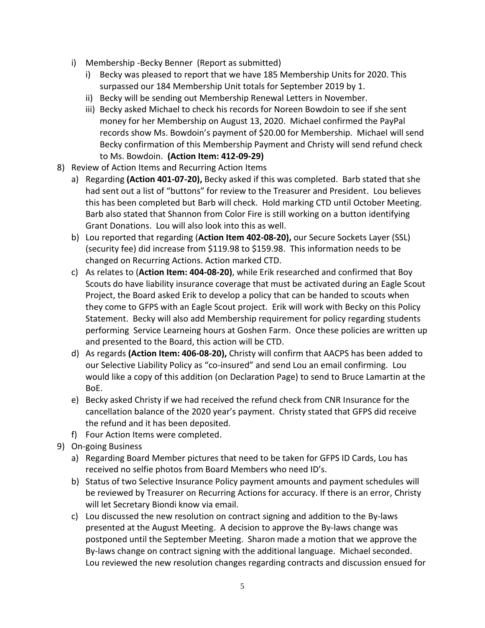- i) Membership -Becky Benner (Report as submitted)
	- i) Becky was pleased to report that we have 185 Membership Units for 2020. This surpassed our 184 Membership Unit totals for September 2019 by 1.
	- ii) Becky will be sending out Membership Renewal Letters in November.
	- iii) Becky asked Michael to check his records for Noreen Bowdoin to see if she sent money for her Membership on August 13, 2020. Michael confirmed the PayPal records show Ms. Bowdoin's payment of \$20.00 for Membership. Michael will send Becky confirmation of this Membership Payment and Christy will send refund check to Ms. Bowdoin. **(Action Item: 412-09-29)**
- 8) Review of Action Items and Recurring Action Items
	- a) Regarding **(Action 401-07-20),** Becky asked if this was completed. Barb stated that she had sent out a list of "buttons" for review to the Treasurer and President. Lou believes this has been completed but Barb will check. Hold marking CTD until October Meeting. Barb also stated that Shannon from Color Fire is still working on a button identifying Grant Donations. Lou will also look into this as well.
	- b) Lou reported that regarding (**Action Item 402-08-20),** our Secure Sockets Layer (SSL) (security fee) did increase from \$119.98 to \$159.98. This information needs to be changed on Recurring Actions. Action marked CTD.
	- c) As relates to (**Action Item: 404-08-20)**, while Erik researched and confirmed that Boy Scouts do have liability insurance coverage that must be activated during an Eagle Scout Project, the Board asked Erik to develop a policy that can be handed to scouts when they come to GFPS with an Eagle Scout project. Erik will work with Becky on this Policy Statement. Becky will also add Membership requirement for policy regarding students performing Service Learneing hours at Goshen Farm. Once these policies are written up and presented to the Board, this action will be CTD.
	- d) As regards **(Action Item: 406-08-20),** Christy will confirm that AACPS has been added to our Selective Liability Policy as "co-insured" and send Lou an email confirming. Lou would like a copy of this addition (on Declaration Page) to send to Bruce Lamartin at the BoE.
	- e) Becky asked Christy if we had received the refund check from CNR Insurance for the cancellation balance of the 2020 year's payment. Christy stated that GFPS did receive the refund and it has been deposited.
	- f) Four Action Items were completed.
- 9) On-going Business
	- a) Regarding Board Member pictures that need to be taken for GFPS ID Cards, Lou has received no selfie photos from Board Members who need ID's.
	- b) Status of two Selective Insurance Policy payment amounts and payment schedules will be reviewed by Treasurer on Recurring Actions for accuracy. If there is an error, Christy will let Secretary Biondi know via email.
	- c) Lou discussed the new resolution on contract signing and addition to the By-laws presented at the August Meeting. A decision to approve the By-laws change was postponed until the September Meeting. Sharon made a motion that we approve the By-laws change on contract signing with the additional language. Michael seconded. Lou reviewed the new resolution changes regarding contracts and discussion ensued for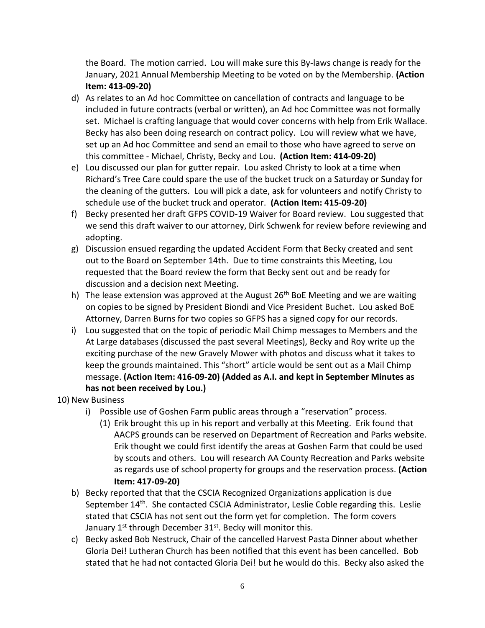the Board. The motion carried. Lou will make sure this By-laws change is ready for the January, 2021 Annual Membership Meeting to be voted on by the Membership. **(Action Item: 413-09-20)**

- d) As relates to an Ad hoc Committee on cancellation of contracts and language to be included in future contracts (verbal or written), an Ad hoc Committee was not formally set. Michael is crafting language that would cover concerns with help from Erik Wallace. Becky has also been doing research on contract policy. Lou will review what we have, set up an Ad hoc Committee and send an email to those who have agreed to serve on this committee - Michael, Christy, Becky and Lou. **(Action Item: 414-09-20)**
- e) Lou discussed our plan for gutter repair. Lou asked Christy to look at a time when Richard's Tree Care could spare the use of the bucket truck on a Saturday or Sunday for the cleaning of the gutters. Lou will pick a date, ask for volunteers and notify Christy to schedule use of the bucket truck and operator. **(Action Item: 415-09-20)**
- f) Becky presented her draft GFPS COVID-19 Waiver for Board review. Lou suggested that we send this draft waiver to our attorney, Dirk Schwenk for review before reviewing and adopting.
- g) Discussion ensued regarding the updated Accident Form that Becky created and sent out to the Board on September 14th. Due to time constraints this Meeting, Lou requested that the Board review the form that Becky sent out and be ready for discussion and a decision next Meeting.
- h) The lease extension was approved at the August  $26<sup>th</sup>$  BoE Meeting and we are waiting on copies to be signed by President Biondi and Vice President Buchet. Lou asked BoE Attorney, Darren Burns for two copies so GFPS has a signed copy for our records.
- i) Lou suggested that on the topic of periodic Mail Chimp messages to Members and the At Large databases (discussed the past several Meetings), Becky and Roy write up the exciting purchase of the new Gravely Mower with photos and discuss what it takes to keep the grounds maintained. This "short" article would be sent out as a Mail Chimp message. **(Action Item: 416-09-20) (Added as A.I. and kept in September Minutes as has not been received by Lou.)**
- 10) New Business
	- i) Possible use of Goshen Farm public areas through a "reservation" process.
		- (1) Erik brought this up in his report and verbally at this Meeting. Erik found that AACPS grounds can be reserved on Department of Recreation and Parks website. Erik thought we could first identify the areas at Goshen Farm that could be used by scouts and others. Lou will research AA County Recreation and Parks website as regards use of school property for groups and the reservation process. **(Action Item: 417-09-20)**
	- b) Becky reported that that the CSCIA Recognized Organizations application is due September 14<sup>th</sup>. She contacted CSCIA Administrator, Leslie Coble regarding this. Leslie stated that CSCIA has not sent out the form yet for completion. The form covers January 1<sup>st</sup> through December 31<sup>st</sup>. Becky will monitor this.
	- c) Becky asked Bob Nestruck, Chair of the cancelled Harvest Pasta Dinner about whether Gloria Dei! Lutheran Church has been notified that this event has been cancelled. Bob stated that he had not contacted Gloria Dei! but he would do this. Becky also asked the